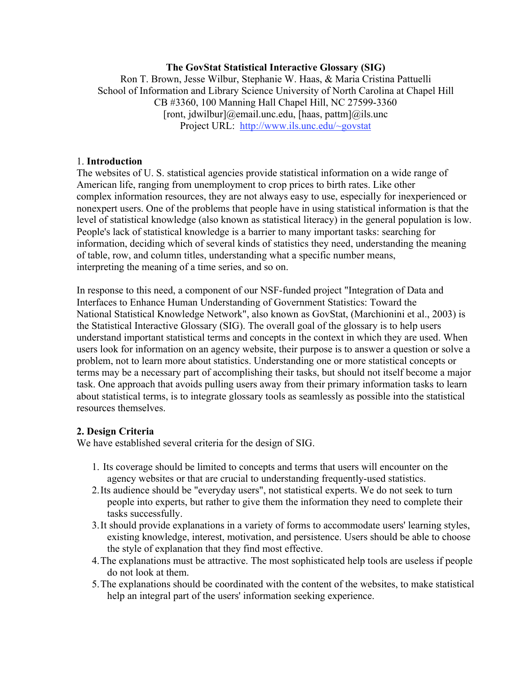### **The GovStat Statistical Interactive Glossary (SIG)**

Ron T. Brown, Jesse Wilbur, Stephanie W. Haas, & Maria Cristina Pattuelli School of Information and Library Science University of North Carolina at Chapel Hill CB #3360, 100 Manning Hall Chapel Hill, NC 27599-3360 [ront, jdwilbur]@email.unc.edu, [haas, pattm]@ils.unc Project URL: http://www.ils.unc.edu/~govstat

#### 1. **Introduction**

The websites of U. S. statistical agencies provide statistical information on a wide range of American life, ranging from unemployment to crop prices to birth rates. Like other complex information resources, they are not always easy to use, especially for inexperienced or nonexpert users. One of the problems that people have in using statistical information is that the level of statistical knowledge (also known as statistical literacy) in the general population is low. People's lack of statistical knowledge is a barrier to many important tasks: searching for information, deciding which of several kinds of statistics they need, understanding the meaning of table, row, and column titles, understanding what a specific number means, interpreting the meaning of a time series, and so on.

In response to this need, a component of our NSF-funded project "Integration of Data and Interfaces to Enhance Human Understanding of Government Statistics: Toward the National Statistical Knowledge Network", also known as GovStat, (Marchionini et al., 2003) is the Statistical Interactive Glossary (SIG). The overall goal of the glossary is to help users understand important statistical terms and concepts in the context in which they are used. When users look for information on an agency website, their purpose is to answer a question or solve a problem, not to learn more about statistics. Understanding one or more statistical concepts or terms may be a necessary part of accomplishing their tasks, but should not itself become a major task. One approach that avoids pulling users away from their primary information tasks to learn about statistical terms, is to integrate glossary tools as seamlessly as possible into the statistical resources themselves.

### **2. Design Criteria**

We have established several criteria for the design of SIG.

- 1. Its coverage should be limited to concepts and terms that users will encounter on the agency websites or that are crucial to understanding frequently-used statistics.
- 2.Its audience should be "everyday users", not statistical experts. We do not seek to turn people into experts, but rather to give them the information they need to complete their tasks successfully.
- 3.It should provide explanations in a variety of forms to accommodate users' learning styles, existing knowledge, interest, motivation, and persistence. Users should be able to choose the style of explanation that they find most effective.
- 4.The explanations must be attractive. The most sophisticated help tools are useless if people do not look at them.
- 5.The explanations should be coordinated with the content of the websites, to make statistical help an integral part of the users' information seeking experience.